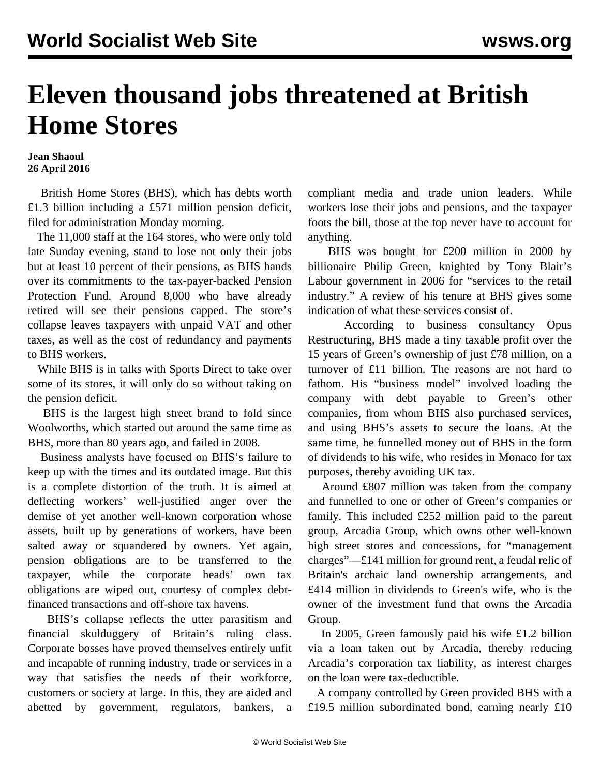## **Eleven thousand jobs threatened at British Home Stores**

## **Jean Shaoul 26 April 2016**

 British Home Stores (BHS), which has debts worth £1.3 billion including a £571 million pension deficit, filed for administration Monday morning.

 The 11,000 staff at the 164 stores, who were only told late Sunday evening, stand to lose not only their jobs but at least 10 percent of their pensions, as BHS hands over its commitments to the tax-payer-backed Pension Protection Fund. Around 8,000 who have already retired will see their pensions capped. The store's collapse leaves taxpayers with unpaid VAT and other taxes, as well as the cost of redundancy and payments to BHS workers.

 While BHS is in talks with Sports Direct to take over some of its stores, it will only do so without taking on the pension deficit.

 BHS is the largest high street brand to fold since Woolworths, which started out around the same time as BHS, more than 80 years ago, and failed in 2008.

 Business analysts have focused on BHS's failure to keep up with the times and its outdated image. But this is a complete distortion of the truth. It is aimed at deflecting workers' well-justified anger over the demise of yet another well-known corporation whose assets, built up by generations of workers, have been salted away or squandered by owners. Yet again, pension obligations are to be transferred to the taxpayer, while the corporate heads' own tax obligations are wiped out, courtesy of complex debtfinanced transactions and off-shore tax havens.

 BHS's collapse reflects the utter parasitism and financial skulduggery of Britain's ruling class. Corporate bosses have proved themselves entirely unfit and incapable of running industry, trade or services in a way that satisfies the needs of their workforce, customers or society at large. In this, they are aided and abetted by government, regulators, bankers, a compliant media and trade union leaders. While workers lose their jobs and pensions, and the taxpayer foots the bill, those at the top never have to account for anything.

 BHS was bought for £200 million in 2000 by billionaire Philip Green, knighted by Tony Blair's Labour government in 2006 for "services to the retail industry." A review of his tenure at BHS gives some indication of what these services consist of.

 According to business consultancy Opus Restructuring, BHS made a tiny taxable profit over the 15 years of Green's ownership of just £78 million, on a turnover of £11 billion. The reasons are not hard to fathom. His "business model" involved loading the company with debt payable to Green's other companies, from whom BHS also purchased services, and using BHS's assets to secure the loans. At the same time, he funnelled money out of BHS in the form of dividends to his wife, who resides in Monaco for tax purposes, thereby avoiding UK tax.

 Around £807 million was taken from the company and funnelled to one or other of Green's companies or family. This included £252 million paid to the parent group, Arcadia Group, which owns other well-known high street stores and concessions, for "management charges"—£141 million for ground rent, a feudal relic of Britain's archaic land ownership arrangements, and £414 million in dividends to Green's wife, who is the owner of the investment fund that owns the Arcadia Group.

 In 2005, Green famously paid his wife £1.2 billion via a loan taken out by Arcadia, thereby reducing Arcadia's corporation tax liability, as interest charges on the loan were tax-deductible.

 A company controlled by Green provided BHS with a £19.5 million subordinated bond, earning nearly  $£10$